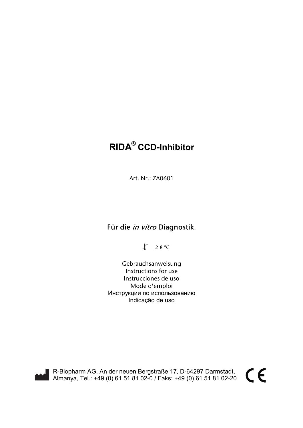# **RIDA® CCD-Inhibitor**

Art. Nr.: ZA0601

## Für die in vitro Diagnostik.

 $\sqrt{2-8$  °C

 Gebrauchsanweisung Instructions for use Instrucciones de uso Mode d'emploi Инструкции по использованию Indicação de uso

R-Biopharm AG, An der neuen Bergstraße 17, D-64297 Darmstadt, Almanya, Tel.: +49 (0) 61 51 81 02-0 / Faks: +49 (0) 61 51 81 02-20  $\epsilon$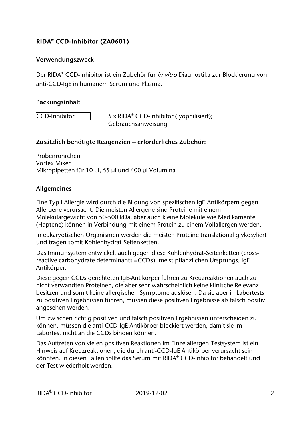#### **Verwendungszweck**

Der RIDA® CCD-Inhibitor ist ein Zubehör für *in vitro* Diagnostika zur Blockierung von anti-CCD-IgE in humanem Serum und Plasma.

#### **Packungsinhalt**

 $|CCD$ -Inhibitor  $|S \times RIDA^{\circ} CCD$ -Inhibitor (lyophilisiert); Gebrauchsanweisung

#### **Zusätzlich benötigte Reagenzien – erforderliches Zubehör:**

Probenröhrchen Vortex Mixer Mikropipetten für 10 µl, 55 µl und 400 µl Volumina

#### **Allgemeines**

Eine Typ I Allergie wird durch die Bildung von spezifischen IgE-Antikörpern gegen Allergene verursacht. Die meisten Allergene sind Proteine mit einem Molekulargewicht von 50-500 kDa, aber auch kleine Moleküle wie Medikamente (Haptene) können in Verbindung mit einem Protein zu einem Vollallergen werden.

In eukaryotischen Organismen werden die meisten Proteine translational glykosyliert und tragen somit Kohlenhydrat-Seitenketten.

Das Immunsystem entwickelt auch gegen diese Kohlenhydrat-Seitenketten (crossreactive carbohydrate determinants =CCDs), meist pflanzlichen Ursprungs, IgE-Antikörper.

Diese gegen CCDs gerichteten IgE-Antikörper führen zu Kreuzreaktionen auch zu nicht verwandten Proteinen, die aber sehr wahrscheinlich keine klinische Relevanz besitzen und somit keine allergischen Symptome auslösen. Da sie aber in Labortests zu positiven Ergebnissen führen, müssen diese positiven Ergebnisse als falsch positiv angesehen werden.

Um zwischen richtig positiven und falsch positiven Ergebnissen unterscheiden zu können, müssen die anti-CCD-IgE Antikörper blockiert werden, damit sie im Labortest nicht an die CCDs binden können.

Das Auftreten von vielen positiven Reaktionen im Einzelallergen-Testsystem ist ein Hinweis auf Kreuzreaktionen, die durch anti-CCD-IgE Antikörper verursacht sein könnten. In diesen Fällen sollte das Serum mit RIDA® CCD-Inhibitor behandelt und der Test wiederholt werden.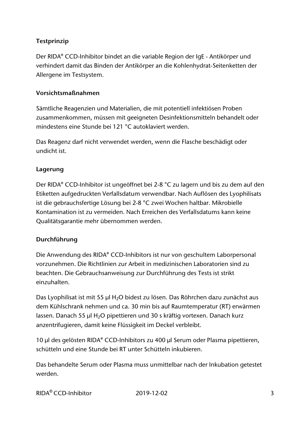## **Testprinzip**

Der RIDA® CCD-Inhibitor bindet an die variable Region der IgE - Antikörper und verhindert damit das Binden der Antikörper an die Kohlenhydrat-Seitenketten der Allergene im Testsystem.

### **Vorsichtsmaßnahmen**

Sämtliche Reagenzien und Materialien, die mit potentiell infektiösen Proben zusammenkommen, müssen mit geeigneten Desinfektionsmitteln behandelt oder mindestens eine Stunde bei 121 °C autoklaviert werden.

Das Reagenz darf nicht verwendet werden, wenn die Flasche beschädigt oder undicht ist.

#### **Lagerung**

Der RIDA® CCD-Inhibitor ist ungeöffnet bei 2-8 °C zu lagern und bis zu dem auf den Etiketten aufgedruckten Verfallsdatum verwendbar. Nach Auflösen des Lyophilisats ist die gebrauchsfertige Lösung bei 2-8 °C zwei Wochen haltbar. Mikrobielle Kontamination ist zu vermeiden. Nach Erreichen des Verfallsdatums kann keine Qualitätsgarantie mehr übernommen werden.

### **Durchführung**

Die Anwendung des RIDA® CCD-Inhibitors ist nur von geschultem Laborpersonal vorzunehmen. Die Richtlinien zur Arbeit in medizinischen Laboratorien sind zu beachten. Die Gebrauchsanweisung zur Durchführung des Tests ist strikt einzuhalten.

Das Lyophilisat ist mit 55 µl H<sub>2</sub>O bidest zu lösen. Das Röhrchen dazu zunächst aus dem Kühlschrank nehmen und ca. 30 min bis auf Raumtemperatur (RT) erwärmen lassen. Danach 55 µl H<sub>2</sub>O pipettieren und 30 s kräftig vortexen. Danach kurz anzentrifugieren, damit keine Flüssigkeit im Deckel verbleibt.

10 µl des gelösten RIDA® CCD-Inhibitors zu 400 µl Serum oder Plasma pipettieren, schütteln und eine Stunde bei RT unter Schütteln inkubieren.

Das behandelte Serum oder Plasma muss unmittelbar nach der Inkubation getestet werden.

| RIDA <sup>®</sup> CCD-Inhibitor | 2019-12-02 |  |
|---------------------------------|------------|--|
|                                 |            |  |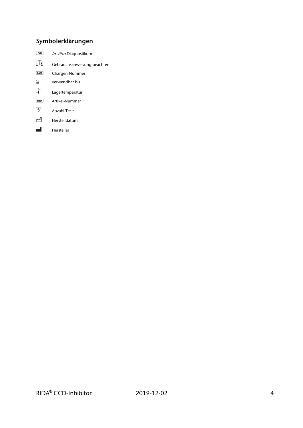## **Symbolerklärungen**

- In-Vitro-Diagnostikum
- $\hfill\Box$ Gebrauchsanweisung beachten
- $LOT$ Chargen-Nummer
- $\overline{\mathbf{z}}$ verwendbar bis
- $\chi$ Lagertemperatur
- $REF$ Artikel-Nummer
- $\overline{\nabla}$ Anzahl Tests
- $\mathbb{Z}^{\mathbb{J}}$ Herstelldatum
- <u>rd</u> Hersteller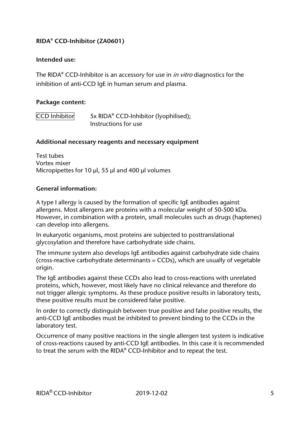#### **Intended use:**

The RIDA® CCD-Inhibitor is an accessory for use in *in vitro* diagnostics for the inhibition of anti-CCD IgE in human serum and plasma.

#### **Package content:**

 $|CCD|$  Inhibitor  $|5x|$  RIDA® CCD-Inhibitor (lyophilised); Instructions for use

#### **Additional necessary reagents and necessary equipment**

Test tubes Vortex mixer Micropipettes for 10 µl, 55 µl and 400 µl volumes

#### **General information:**

A type I allergy is caused by the formation of specific IgE antibodies against allergens. Most allergens are proteins with a molecular weight of 50-500 kDa. However, in combination with a protein, small molecules such as drugs (haptenes) can develop into allergens.

In eukaryotic organisms, most proteins are subjected to posttranslational glycosylation and therefore have carbohydrate side chains.

The immune system also develops IgE antibodies against carbohydrate side chains (cross-reactive carbohydrate determinants = CCDs), which are usually of vegetable origin.

The IgE antibodies against these CCDs also lead to cross-reactions with unrelated proteins, which, however, most likely have no clinical relevance and therefore do not trigger allergic symptoms. As these produce positive results in laboratory tests, these positive results must be considered false positive.

In order to correctly distinguish between true positive and false positive results, the anti-CCD IgE antibodies must be inhibited to prevent binding to the CCDs in the laboratory test.

Occurrence of many positive reactions in the single allergen test system is indicative of cross-reactions caused by anti-CCD IgE antibodies. In this case it is recommended to treat the serum with the RIDA® CCD-Inhibitor and to repeat the test.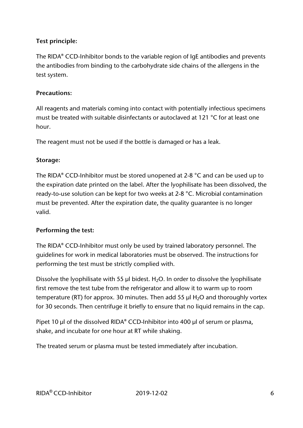## **Test principle:**

The RIDA® CCD-Inhibitor bonds to the variable region of IgE antibodies and prevents the antibodies from binding to the carbohydrate side chains of the allergens in the test system.

### **Precautions:**

All reagents and materials coming into contact with potentially infectious specimens must be treated with suitable disinfectants or autoclaved at 121 °C for at least one hour.

The reagent must not be used if the bottle is damaged or has a leak.

## **Storage:**

The RIDA® CCD-Inhibitor must be stored unopened at 2-8 °C and can be used up to the expiration date printed on the label. After the lyophilisate has been dissolved, the ready-to-use solution can be kept for two weeks at 2-8 °C. Microbial contamination must be prevented. After the expiration date, the quality guarantee is no longer valid.

## **Performing the test:**

The RIDA® CCD-Inhibitor must only be used by trained laboratory personnel. The guidelines for work in medical laboratories must be observed. The instructions for performing the test must be strictly complied with.

Dissolve the lyophilisate with 55  $\mu$ l bidest. H<sub>2</sub>O. In order to dissolve the lyophilisate first remove the test tube from the refrigerator and allow it to warm up to room temperature (RT) for approx. 30 minutes. Then add 55  $\mu$ l H<sub>2</sub>O and thoroughly vortex for 30 seconds. Then centrifuge it briefly to ensure that no liquid remains in the cap.

Pipet 10 µl of the dissolved RIDA® CCD-Inhibitor into 400 µl of serum or plasma, shake, and incubate for one hour at RT while shaking.

The treated serum or plasma must be tested immediately after incubation.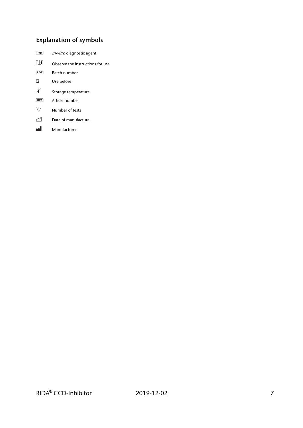## **Explanation of symbols**

- In-vitro diagnostic agent  $\boxed{\mathbf{1}}$ Observe the instructions for use  $\boxed{\text{LOT}}$ Batch number  $\overline{\mathbf{z}}$ Use before  $\pmb{\mathcal{X}}$ Storage temperature  $REF$ Article number  $\overline{\nabla}$ Number of tests
- ≃ Date of manufacture
- <u>rd</u> Manufacturer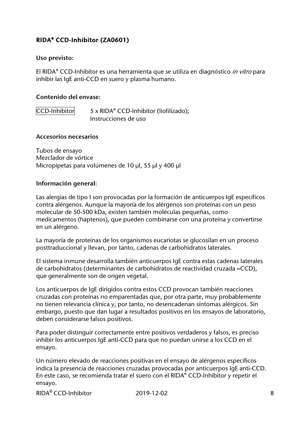#### **Uso previsto:**

El RIDA® CCD-Inhibitor es una herramienta que se utiliza en diagnóstico in vitro para inhibir las IgE anti-CCD en suero y plasma humano.

#### **Contenido del envase:**

 $|CCD\text{-}Inhibitor|$  5 x RIDA® CCD-Inhibitor (liofilizado); Instrucciones de uso

#### **Accesorios necesarios**

Tubos de ensayo Mezclador de vórtice Micropipetas para volúmenes de 10 µl, 55 µl y 400 µl

#### **Información general:**

Las alergias de tipo I son provocadas por la formación de anticuerpos IgE específicos contra alérgenos. Aunque la mayoría de los alérgenos son proteínas con un peso molecular de 50-500 kDa, existen también moléculas pequeñas, como medicamentos (haptenos), que pueden combinarse con una proteína y convertirse en un alérgeno.

La mayoría de proteínas de los organismos eucariotas se glucosilan en un proceso posttraduccional y llevan, por tanto, cadenas de carbohidratos laterales.

El sistema inmune desarrolla también anticuerpos IgE contra estas cadenas laterales de carbohidratos (determinantes de carbohidratos de reactividad cruzada =CCD), que generalmente son de origen vegetal.

Los anticuerpos de IgE dirigidos contra estos CCD provocan también reacciones cruzadas con proteínas no emparentadas que, por otra parte, muy probablemente no tienen relevancia clínica y, por tanto, no desencadenan síntomas alérgicos. Sin embargo, puesto que dan lugar a resultados positivos en los ensayos de laboratorio, deben considerarse falsos positivos.

Para poder distinguir correctamente entre positivos verdaderos y falsos, es preciso inhibir los anticuerpos IgE anti-CCD para que no puedan unirse a los CCD en el ensayo.

Un número elevado de reacciones positivas en el ensayo de alérgenos específicos indica la presencia de reacciones cruzadas provocadas por anticuerpos IgE anti-CCD. En este caso, se recomienda tratar el suero con el RIDA® CCD-Inhibitor y repetir el ensayo.

 $RIDA^{\circledR}$  CCD-Inhibitor 2019-12-02 8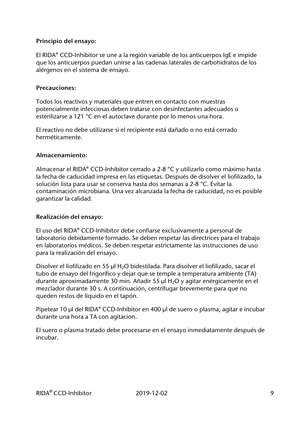#### **Principio del ensayo:**

El RIDA® CCD-Inhibitor se une a la región variable de los anticuerpos IgE e impide que los anticuerpos puedan unirse a las cadenas laterales de carbohidratos de los alérgenos en el sistema de ensayo.

#### **Precauciones:**

Todos los reactivos y materiales que entren en contacto con muestras potencialmente infecciosas deben tratarse con desinfectantes adecuados o esterilizarse a 121 °C en el autoclave durante por lo menos una hora.

El reactivo no debe utilizarse si el recipiente está dañado o no está cerrado herméticamente.

#### **Almacenamiento:**

Almacenar el RIDA® CCD-Inhibitor cerrado a 2-8 °C y utilizarlo como máximo hasta la fecha de caducidad impresa en las etiquetas. Después de disolver el liofilizado, la solución lista para usar se conserva hasta dos semanas a 2-8 °C. Evitar la contaminación microbiana. Una vez alcanzada la fecha de caducidad, no es posible garantizar la calidad.

#### **Realización del ensayo:**

El uso del RIDA® CCD-Inhibitor debe confiarse exclusivamente a personal de laboratorio debidamente formado. Se deben respetar las directrices para el trabajo en laboratorios médicos. Se deben respetar estrictamente las instrucciones de uso para la realización del ensayo.

Disolver el liofilizado en 55 µl H<sub>2</sub>O bidestilada. Para disolver el liofilizado, sacar el tubo de ensayo del frigorífico y dejar que se temple a temperatura ambiente (TA) durante aproximadamente 30 min. Añadir 55 µl H2O y agitar enérgicamente en el mezclador durante 30 s. A continuación, centrifugar brevemente para que no queden restos de líquido en el tapón.

Pipetear 10 µl del RIDA® CCD-Inhibitor en 400 µl de suero o plasma, agitar e incubar durante una hora a TA con agitacion.

El suero o plasma tratado debe procesarse en el ensayo inmediatamente después de incubar.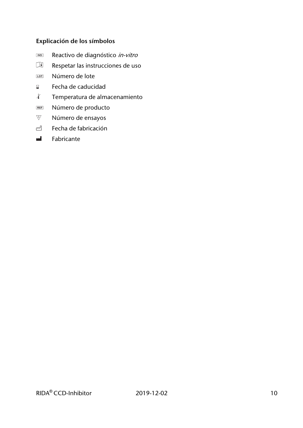### **Explicación de los símbolos**

- Reactivo de diagnóstico in-vitro
- $\Box$ Respetar las instrucciones de uso
- Número de lote LOT
- Fecha de caducidad  $\mathbf{z}$
- $\mathcal{X}$ Temperatura de almacenamiento
- Número de producto  $REF$
- $\bigvee\hspace{-0.15cm}\mathbb{Z}\hspace{-0.15cm}\bigvee$ Número de ensayos
- $\sim$ Fecha de fabricación
- Fabricante  $\mathbf{H}$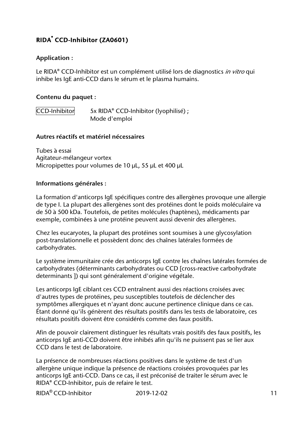#### **Application :**

Le RIDA<sup>®</sup> CCD-Inhibitor est un complément utilisé lors de diagnostics *in vitro* qui inhibe les IgE anti-CCD dans le sérum et le plasma humains.

#### **Contenu du paquet :**

 $|CCD$ -Inhibitor  $5x$  RIDA® CCD-Inhibitor (lyophilisé) ; Mode d'emploi

#### **Autres réactifs et matériel nécessaires**

Tubes à essai Agitateur-mélangeur vortex Micropipettes pour volumes de 10 µL, 55 µL et 400 µL

#### **Informations générales :**

La formation d'anticorps IgE spécifiques contre des allergènes provoque une allergie de type I. La plupart des allergènes sont des protéines dont le poids moléculaire va de 50 à 500 kDa. Toutefois, de petites molécules (haptènes), médicaments par exemple, combinées à une protéine peuvent aussi devenir des allergènes.

Chez les eucaryotes, la plupart des protéines sont soumises à une glycosylation post-translationnelle et possèdent donc des chaînes latérales formées de carbohydrates.

Le système immunitaire crée des anticorps IgE contre les chaînes latérales formées de carbohydrates (déterminants carbohydrates ou CCD [cross-reactive carbohydrate determinants ]) qui sont généralement d'origine végétale.

Les anticorps IgE ciblant ces CCD entraînent aussi des réactions croisées avec d'autres types de protéines, peu susceptibles toutefois de déclencher des symptômes allergiques et n'ayant donc aucune pertinence clinique dans ce cas. Étant donné qu'ils génèrent des résultats positifs dans les tests de laboratoire, ces résultats positifs doivent être considérés comme des faux positifs.

Afin de pouvoir clairement distinguer les résultats vrais positifs des faux positifs, les anticorps IgE anti-CCD doivent être inhibés afin qu'ils ne puissent pas se lier aux CCD dans le test de laboratoire.

La présence de nombreuses réactions positives dans le système de test d'un allergène unique indique la présence de réactions croisées provoquées par les anticorps IgE anti-CCD. Dans ce cas, il est préconisé de traiter le sérum avec le RIDA® CCD-Inhibitor, puis de refaire le test.

 $RIDA^{\circledR}$  CCD-Inhibitor 2019-12-02 11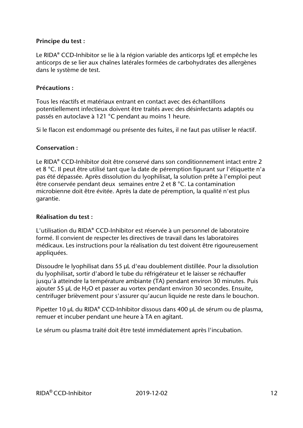#### **Principe du test :**

Le RIDA® CCD-Inhibitor se lie à la région variable des anticorps IgE et empêche les anticorps de se lier aux chaînes latérales formées de carbohydrates des allergènes dans le système de test.

#### **Précautions :**

Tous les réactifs et matériaux entrant en contact avec des échantillons potentiellement infectieux doivent être traités avec des désinfectants adaptés ou passés en autoclave à 121 °C pendant au moins 1 heure.

Si le flacon est endommagé ou présente des fuites, il ne faut pas utiliser le réactif.

#### **Conservation :**

Le RIDA® CCD-Inhibitor doit être conservé dans son conditionnement intact entre 2 et 8 °C. Il peut être utilisé tant que la date de péremption figurant sur l'étiquette n'a pas été dépassée. Après dissolution du lyophilisat, la solution prête à l'emploi peut être conservée pendant deux semaines entre 2 et 8 °C. La contamination microbienne doit être évitée. Après la date de péremption, la qualité n'est plus garantie.

#### **Réalisation du test :**

L'utilisation du RIDA® CCD-Inhibitor est réservée à un personnel de laboratoire formé. Il convient de respecter les directives de travail dans les laboratoires médicaux. Les instructions pour la réalisation du test doivent être rigoureusement appliquées.

Dissoudre le lyophilisat dans 55 µL d'eau doublement distillée. Pour la dissolution du lyophilisat, sortir d'abord le tube du réfrigérateur et le laisser se réchauffer jusqu'à atteindre la température ambiante (TA) pendant environ 30 minutes. Puis ajouter 55  $\mu$ L de H<sub>2</sub>O et passer au vortex pendant environ 30 secondes. Ensuite, centrifuger brièvement pour s'assurer qu'aucun liquide ne reste dans le bouchon.

Pipetter 10 µL du RIDA® CCD-Inhibitor dissous dans 400 µL de sérum ou de plasma, remuer et incuber pendant une heure à TA en agitant.

Le sérum ou plasma traité doit être testé immédiatement après l'incubation.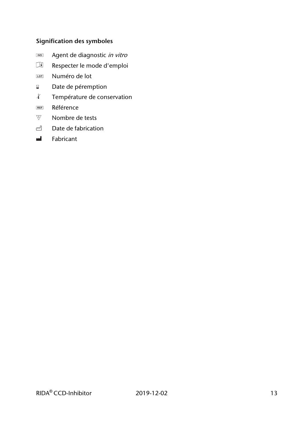## **Signification des symboles**

- **NOD** Agent de diagnostic in vitro
- $\Box$ Respecter le mode d'emploi
- Numéro de lot **LOT**
- Date de péremption  $\mathbf{Z}^{\top}$
- $\pmb{\downarrow}$ Température de conservation
- Référence  $REF$
- Nombre de tests
- $\sim$ Date de fabrication
- Fabricant  $\mathbf{H}$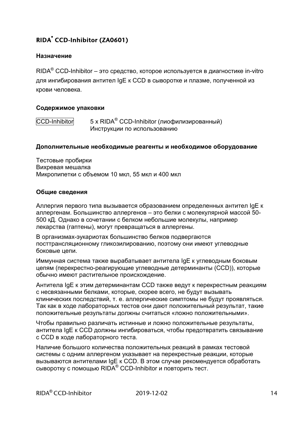#### **Назначение**

 $\mathsf{RIDA}^\circledast$  CCD-Inhibitor – это средство, которое используется в диагностике in-vitro для ингибирования антител IgE к CCD в сыворотке и плазме, полученной из крови человека.

#### **Содержимое упаковки**

CCD-Inhibitor 5 х RIDA<sup>®</sup> CCD-Inhibitor (лиофилизированный) Инструкции по использованию

#### **Дополнительные необходимые реагенты и необходимое оборудование**

Тестовые пробирки Вихревая мешалка Микропипетки с объемом 10 мкл, 55 мкл и 400 мкл

#### **Общие сведения**

Аллергия первого типа вызывается образованием определенных антител IgE к аллергенам. Большинство аллергенов – это белки с молекулярной массой 50- 500 кД. Однако в сочетании с белком небольшие молекулы, например лекарства (гаптены), могут превращаться в аллергены.

В организмах-эукариотах большинство белков подвергаются посттрансляционному гликозилированию, поэтому они имеют углеводные боковые цепи.

Иммунная система также вырабатывает антитела IgE к углеводным боковым цепям (перекрестно-реагирующие углеводные детерминанты (CCD)), которые обычно имеют растительное происхождение.

Антитела IgE к этим детерминантам CCD также ведут к перекрестным реакциям с несвязанными белками, которые, скорее всего, не будут вызывать клинических последствий, т. е. аллергические симптомы не будут проявляться. Так как в ходе лабораторных тестов они дают положительный результат, такие положительные результаты должны считаться «ложно положительными».

Чтобы правильно различать истинные и ложно положительные результаты, антитела IgE к CCD должны ингибироваться, чтобы предотвратить связывание с CCD в ходе лабораторного теста.

Наличие большого количества положительных реакций в рамках тестовой системы с одним аллергеном указывает на перекрестные реакции, которые вызываются антителами IgE к CCD. В этом случае рекомендуется обработать сыворотку с помощью RIDA® CCD-Inhibitor и повторить тест.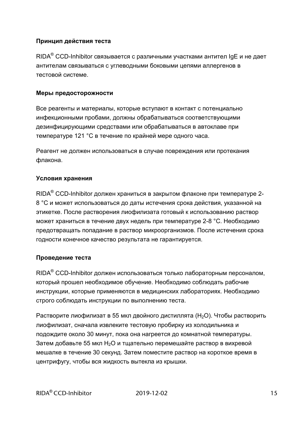#### **Принцип действия теста**

 $\mathsf{RIDA}^\circledast$  CCD-Inhibitor связывается с различными участками антител IgE и не дает антителам связываться с углеводными боковыми цепями аллергенов в тестовой системе.

#### **Меры предосторожности**

Все реагенты и материалы, которые вступают в контакт с потенциально инфекционными пробами, должны обрабатываться соответствующими дезинфицирующими средствами или обрабатываться в автоклаве при температуре 121 °С в течение по крайней мере одного часа.

Реагент не должен использоваться в случае повреждения или протекания флакона.

#### **Условия хранения**

 $\mathsf{RIDA}^\circledast$  CCD-Inhibitor должен храниться в закрытом флаконе при температуре 2-8 °С и может использоваться до даты истечения срока действия, указанной на этикетке. После растворения лиофилизата готовый к использованию раствор может храниться в течение двух недель при температуре 2-8 °С. Необходимо предотвращать попадание в раствор микроорганизмов. После истечения срока годности конечное качество результата не гарантируется.

#### **Проведение теста**

 $\mathsf{RIDA}^\circledast$  CCD-Inhibitor должен использоваться только лабораторным персоналом, который прошел необходимое обучение. Необходимо соблюдать рабочие инструкции, которые применяются в медицинских лабораториях. Необходимо строго соблюдать инструкции по выполнению теста.

Растворите лиофилизат в 55 мкл двойного дистиллята (H<sub>2</sub>O). Чтобы растворить лиофилизат, сначала извлеките тестовую пробирку из холодильника и подождите около 30 минут, пока она нагреется до комнатной температуры. Затем добавьте 55 мкл H<sub>2</sub>O и тщательно перемешайте раствор в вихревой мешалке в течение 30 секунд. Затем поместите раствор на короткое время в центрифугу, чтобы вся жидкость вытекла из крышки.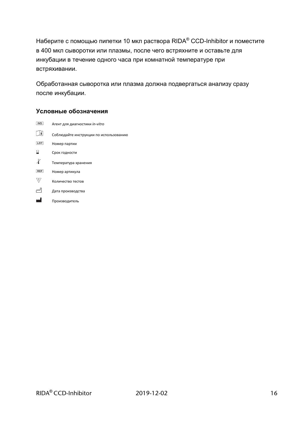Наберите с помощью пипетки 10 мкл раствора RIDA $^\circ$  CCD-Inhibitor и поместите в 400 мкл сыворотки или плазмы, после чего встряхните и оставьте для инкубации в течение одного часа при комнатной температуре при встряхивании.

Обработанная сыворотка или плазма должна подвергаться анализу сразу после инкубации.

#### **Условные обозначения**

| <b>IVD</b> | Агент для диагностики in-vitro         |
|------------|----------------------------------------|
| i          | Соблюдайте инструкции по использованию |
| LOT        | Номер партии                           |
| ⊠          | Срок годности                          |
|            | Температура хранения                   |
| <b>REF</b> | Номер артикула                         |
|            | Количество тестов                      |
|            | Дата производства                      |
|            | Производитель                          |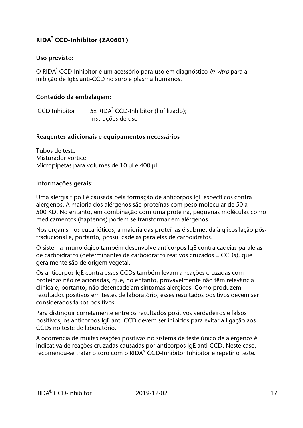#### **Uso previsto:**

O RIDA<sup>®</sup> CCD-Inhibitor é um acessório para uso em diagnóstico *in-vitro* para a inibição de IgEs anti-CCD no soro e plasma humanos.

#### **Conteúdo da embalagem:**

 $|CCD|$  Inhibitor 5x RIDA<sup>®</sup> CCD-Inhibitor (liofilizado); Instruções de uso

#### **Reagentes adicionais e equipamentos necessários**

Tubos de teste Misturador vórtice Micropipetas para volumes de 10 µl e 400 µl

#### **Informações gerais:**

Uma alergia tipo I é causada pela formação de anticorpos IgE específicos contra alérgenos. A maioria dos alérgenos são proteínas com peso molecular de 50 a 500 KD. No entanto, em combinação com uma proteína, pequenas moléculas como medicamentos (haptenos) podem se transformar em alérgenos.

Nos organismos eucarióticos, a maioria das proteínas é submetida à glicosilação póstraducional e, portanto, possui cadeias paralelas de carboidratos.

O sistema imunológico também desenvolve anticorpos IgE contra cadeias paralelas de carboidratos (determinantes de carboidratos reativos cruzados = CCDs), que geralmente são de origem vegetal.

Os anticorpos IgE contra esses CCDs também levam a reações cruzadas com proteínas não relacionadas, que, no entanto, provavelmente não têm relevância clínica e, portanto, não desencadeiam sintomas alérgicos. Como produzem resultados positivos em testes de laboratório, esses resultados positivos devem ser considerados falsos positivos.

Para distinguir corretamente entre os resultados positivos verdadeiros e falsos positivos, os anticorpos IgE anti-CCD devem ser inibidos para evitar a ligação aos CCDs no teste de laboratório.

A ocorrência de muitas reações positivas no sistema de teste único de alérgenos é indicativa de reações cruzadas causadas por anticorpos IgE anti-CCD. Neste caso, recomenda-se tratar o soro com o RIDA® CCD-Inhibitor Inhibitor e repetir o teste.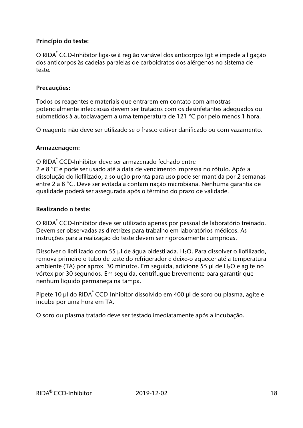#### **Princípio do teste:**

O RIDA® CCD-Inhibitor liga-se à região variável dos anticorpos IgE e impede a ligação dos anticorpos às cadeias paralelas de carboidratos dos alérgenos no sistema de teste.

#### **Precauções:**

Todos os reagentes e materiais que entrarem em contato com amostras potencialmente infecciosas devem ser tratados com os desinfetantes adequados ou submetidos à autoclavagem a uma temperatura de 121 °C por pelo menos 1 hora.

O reagente não deve ser utilizado se o frasco estiver danificado ou com vazamento.

#### **Armazenagem:**

O RIDA<sup>®</sup> CCD-Inhibitor deve ser armazenado fechado entre 2 e 8 °C e pode ser usado até a data de vencimento impressa no rótulo. Após a dissolução do liofilizado, a solução pronta para uso pode ser mantida por 2 semanas entre 2 a 8 °C. Deve ser evitada a contaminação microbiana. Nenhuma garantia de qualidade poderá ser assegurada após o término do prazo de validade.

#### **Realizando o teste:**

O RIDA<sup>®</sup> CCD-Inhibitor deve ser utilizado apenas por pessoal de laboratório treinado. Devem ser observadas as diretrizes para trabalho em laboratórios médicos. As instruções para a realização do teste devem ser rigorosamente cumpridas.

Dissolver o liofilizado com 55 µl de água bidestilada. H<sub>2</sub>O. Para dissolver o liofilizado, remova primeiro o tubo de teste do refrigerador e deixe-o aquecer até a temperatura ambiente (TA) por aprox. 30 minutos. Em seguida, adicione 55  $\mu$ l de H<sub>2</sub>O e agite no vórtex por 30 segundos. Em seguida, centrifugue brevemente para garantir que nenhum líquido permaneça na tampa.

Pipete 10 µl do RIDA ဳ CCD-Inhibitor dissolvido em 400 µl de soro ou plasma, agite e incube por uma hora em TA.

O soro ou plasma tratado deve ser testado imediatamente após a incubação.